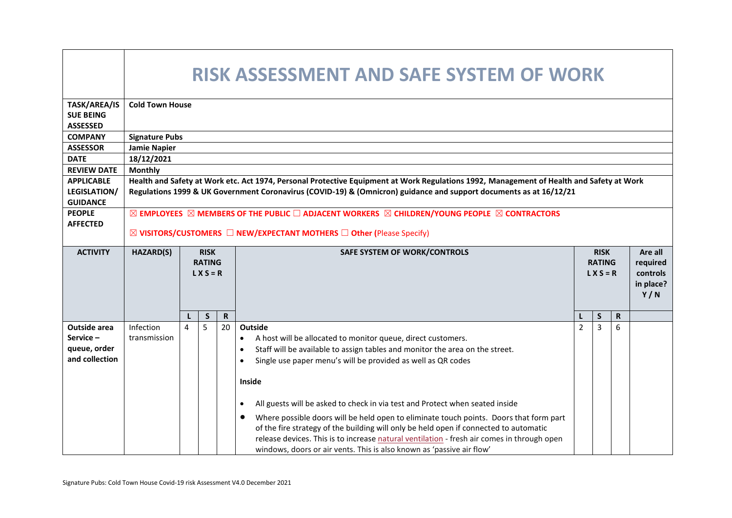|                                                                      | RISK ASSESSMENT AND SAFE SYSTEM OF WORK                                                                                                   |                                                                                                                    |   |             |                                                                                                                                                                                                                                                                                                                                                                                                                                                     |                |                                             |                                                     |  |  |  |  |  |
|----------------------------------------------------------------------|-------------------------------------------------------------------------------------------------------------------------------------------|--------------------------------------------------------------------------------------------------------------------|---|-------------|-----------------------------------------------------------------------------------------------------------------------------------------------------------------------------------------------------------------------------------------------------------------------------------------------------------------------------------------------------------------------------------------------------------------------------------------------------|----------------|---------------------------------------------|-----------------------------------------------------|--|--|--|--|--|
| TASK/AREA/IS                                                         | <b>Cold Town House</b>                                                                                                                    |                                                                                                                    |   |             |                                                                                                                                                                                                                                                                                                                                                                                                                                                     |                |                                             |                                                     |  |  |  |  |  |
| <b>SUE BEING</b>                                                     |                                                                                                                                           |                                                                                                                    |   |             |                                                                                                                                                                                                                                                                                                                                                                                                                                                     |                |                                             |                                                     |  |  |  |  |  |
| <b>ASSESSED</b>                                                      |                                                                                                                                           |                                                                                                                    |   |             |                                                                                                                                                                                                                                                                                                                                                                                                                                                     |                |                                             |                                                     |  |  |  |  |  |
| <b>COMPANY</b>                                                       | <b>Signature Pubs</b>                                                                                                                     |                                                                                                                    |   |             |                                                                                                                                                                                                                                                                                                                                                                                                                                                     |                |                                             |                                                     |  |  |  |  |  |
| <b>ASSESSOR</b>                                                      | <b>Jamie Napier</b>                                                                                                                       |                                                                                                                    |   |             |                                                                                                                                                                                                                                                                                                                                                                                                                                                     |                |                                             |                                                     |  |  |  |  |  |
| <b>DATE</b>                                                          | 18/12/2021                                                                                                                                |                                                                                                                    |   |             |                                                                                                                                                                                                                                                                                                                                                                                                                                                     |                |                                             |                                                     |  |  |  |  |  |
| <b>REVIEW DATE</b>                                                   | <b>Monthly</b>                                                                                                                            |                                                                                                                    |   |             |                                                                                                                                                                                                                                                                                                                                                                                                                                                     |                |                                             |                                                     |  |  |  |  |  |
| <b>APPLICABLE</b>                                                    |                                                                                                                                           |                                                                                                                    |   |             | Health and Safety at Work etc. Act 1974, Personal Protective Equipment at Work Regulations 1992, Management of Health and Safety at Work                                                                                                                                                                                                                                                                                                            |                |                                             |                                                     |  |  |  |  |  |
| <b>LEGISLATION/</b>                                                  |                                                                                                                                           | Regulations 1999 & UK Government Coronavirus (COVID-19) & (Omnicron) guidance and support documents as at 16/12/21 |   |             |                                                                                                                                                                                                                                                                                                                                                                                                                                                     |                |                                             |                                                     |  |  |  |  |  |
| <b>GUIDANCE</b>                                                      |                                                                                                                                           |                                                                                                                    |   |             |                                                                                                                                                                                                                                                                                                                                                                                                                                                     |                |                                             |                                                     |  |  |  |  |  |
| <b>PEOPLE</b>                                                        | $\boxtimes$ employees $\boxtimes$ members of the public $\Box$ adjacent workers $\boxtimes$ children/young people $\boxtimes$ contractors |                                                                                                                    |   |             |                                                                                                                                                                                                                                                                                                                                                                                                                                                     |                |                                             |                                                     |  |  |  |  |  |
| <b>AFFECTED</b>                                                      | $\boxtimes$ VISITORS/CUSTOMERS $\Box$ NEW/EXPECTANT MOTHERS $\Box$ Other (Please Specify)                                                 |                                                                                                                    |   |             |                                                                                                                                                                                                                                                                                                                                                                                                                                                     |                |                                             |                                                     |  |  |  |  |  |
|                                                                      |                                                                                                                                           |                                                                                                                    |   |             |                                                                                                                                                                                                                                                                                                                                                                                                                                                     |                |                                             |                                                     |  |  |  |  |  |
| <b>ACTIVITY</b>                                                      | <b>HAZARD(S)</b>                                                                                                                          | <b>RISK</b><br>SAFE SYSTEM OF WORK/CONTROLS<br><b>RATING</b><br>$L X S = R$                                        |   |             |                                                                                                                                                                                                                                                                                                                                                                                                                                                     |                | <b>RISK</b><br><b>RATING</b><br>$L X S = R$ | Are all<br>required<br>controls<br>in place?<br>Y/N |  |  |  |  |  |
|                                                                      |                                                                                                                                           |                                                                                                                    | S | $\mathbf R$ |                                                                                                                                                                                                                                                                                                                                                                                                                                                     | L              | S                                           | $\mathbf R$                                         |  |  |  |  |  |
| <b>Outside area</b><br>$Service -$<br>queue, order<br>and collection | Infection<br>transmission                                                                                                                 | 4                                                                                                                  | 5 | 20          | <b>Outside</b><br>A host will be allocated to monitor queue, direct customers.<br>Staff will be available to assign tables and monitor the area on the street.<br>Single use paper menu's will be provided as well as QR codes<br>Inside                                                                                                                                                                                                            | $\overline{2}$ | 3                                           | 6                                                   |  |  |  |  |  |
|                                                                      |                                                                                                                                           |                                                                                                                    |   |             | All guests will be asked to check in via test and Protect when seated inside<br>$\bullet$<br>Where possible doors will be held open to eliminate touch points. Doors that form part<br>of the fire strategy of the building will only be held open if connected to automatic<br>release devices. This is to increase natural ventilation - fresh air comes in through open<br>windows, doors or air vents. This is also known as 'passive air flow' |                |                                             |                                                     |  |  |  |  |  |

- r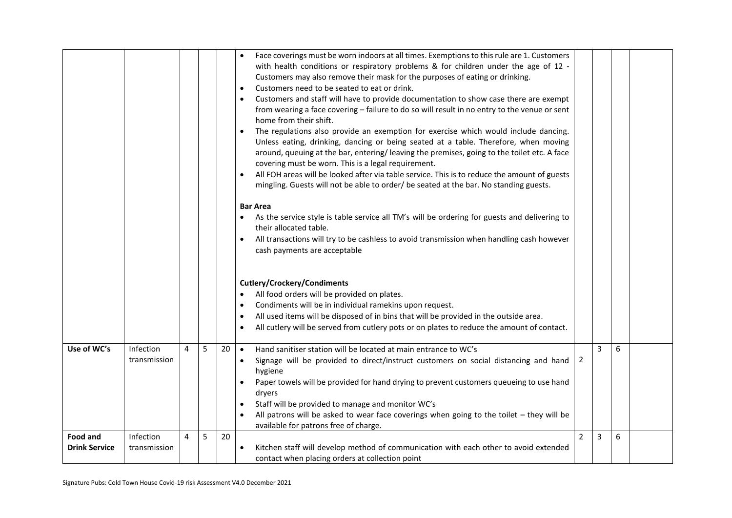|                                         |                           |   |   |    | Face coverings must be worn indoors at all times. Exemptions to this rule are 1. Customers<br>$\bullet$<br>with health conditions or respiratory problems & for children under the age of 12 -<br>Customers may also remove their mask for the purposes of eating or drinking.<br>Customers need to be seated to eat or drink.<br>Customers and staff will have to provide documentation to show case there are exempt<br>from wearing a face covering - failure to do so will result in no entry to the venue or sent<br>home from their shift.<br>The regulations also provide an exemption for exercise which would include dancing.<br>Unless eating, drinking, dancing or being seated at a table. Therefore, when moving<br>around, queuing at the bar, entering/leaving the premises, going to the toilet etc. A face<br>covering must be worn. This is a legal requirement.<br>All FOH areas will be looked after via table service. This is to reduce the amount of guests<br>mingling. Guests will not be able to order/ be seated at the bar. No standing guests.<br><b>Bar Area</b><br>As the service style is table service all TM's will be ordering for guests and delivering to<br>their allocated table.<br>All transactions will try to be cashless to avoid transmission when handling cash however<br>cash payments are acceptable<br><b>Cutlery/Crockery/Condiments</b><br>All food orders will be provided on plates.<br>Condiments will be in individual ramekins upon request.<br>All used items will be disposed of in bins that will be provided in the outside area.<br>All cutlery will be served from cutlery pots or on plates to reduce the amount of contact. |   |   |   |  |
|-----------------------------------------|---------------------------|---|---|----|-----------------------------------------------------------------------------------------------------------------------------------------------------------------------------------------------------------------------------------------------------------------------------------------------------------------------------------------------------------------------------------------------------------------------------------------------------------------------------------------------------------------------------------------------------------------------------------------------------------------------------------------------------------------------------------------------------------------------------------------------------------------------------------------------------------------------------------------------------------------------------------------------------------------------------------------------------------------------------------------------------------------------------------------------------------------------------------------------------------------------------------------------------------------------------------------------------------------------------------------------------------------------------------------------------------------------------------------------------------------------------------------------------------------------------------------------------------------------------------------------------------------------------------------------------------------------------------------------------------------------------------------------------------------------------------------------|---|---|---|--|
|                                         | Infection                 | 4 | 5 |    |                                                                                                                                                                                                                                                                                                                                                                                                                                                                                                                                                                                                                                                                                                                                                                                                                                                                                                                                                                                                                                                                                                                                                                                                                                                                                                                                                                                                                                                                                                                                                                                                                                                                                               |   | 3 |   |  |
| Use of WC's                             | transmission              |   |   | 20 | Hand sanitiser station will be located at main entrance to WC's<br>$\bullet$<br>Signage will be provided to direct/instruct customers on social distancing and hand<br>$\bullet$<br>hygiene<br>Paper towels will be provided for hand drying to prevent customers queueing to use hand<br>dryers<br>Staff will be provided to manage and monitor WC's<br>All patrons will be asked to wear face coverings when going to the toilet $-$ they will be<br>available for patrons free of charge.                                                                                                                                                                                                                                                                                                                                                                                                                                                                                                                                                                                                                                                                                                                                                                                                                                                                                                                                                                                                                                                                                                                                                                                                  | 2 |   | 6 |  |
| <b>Food and</b><br><b>Drink Service</b> | Infection<br>transmission | 4 | 5 | 20 | Kitchen staff will develop method of communication with each other to avoid extended<br>$\bullet$<br>contact when placing orders at collection point                                                                                                                                                                                                                                                                                                                                                                                                                                                                                                                                                                                                                                                                                                                                                                                                                                                                                                                                                                                                                                                                                                                                                                                                                                                                                                                                                                                                                                                                                                                                          | 2 | 3 | 6 |  |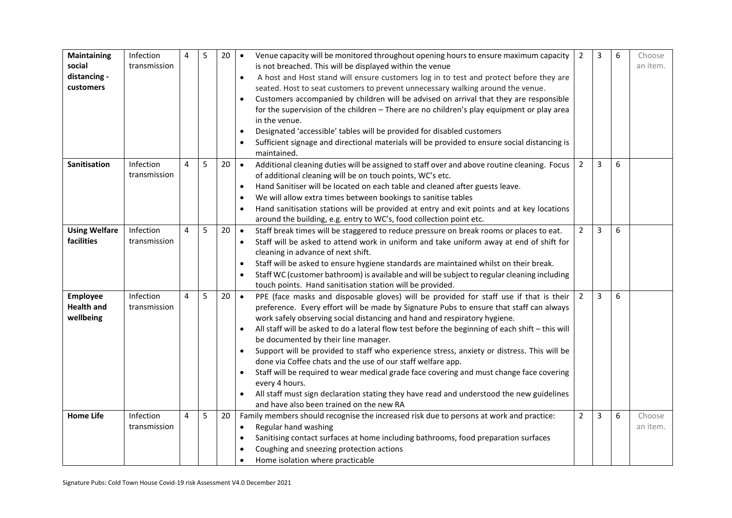| Maintaining<br>social<br>distancing -<br>customers | Infection<br>transmission | 4 | 5 | 20 | Venue capacity will be monitored throughout opening hours to ensure maximum capacity<br>$\bullet$<br>is not breached. This will be displayed within the venue<br>A host and Host stand will ensure customers log in to test and protect before they are<br>$\bullet$<br>seated. Host to seat customers to prevent unnecessary walking around the venue.<br>Customers accompanied by children will be advised on arrival that they are responsible<br>for the supervision of the children - There are no children's play equipment or play area<br>in the venue.<br>Designated 'accessible' tables will be provided for disabled customers<br>Sufficient signage and directional materials will be provided to ensure social distancing is<br>maintained.                                                                                                             | $\overline{2}$ | 3 | 6 | Choose<br>an item. |
|----------------------------------------------------|---------------------------|---|---|----|----------------------------------------------------------------------------------------------------------------------------------------------------------------------------------------------------------------------------------------------------------------------------------------------------------------------------------------------------------------------------------------------------------------------------------------------------------------------------------------------------------------------------------------------------------------------------------------------------------------------------------------------------------------------------------------------------------------------------------------------------------------------------------------------------------------------------------------------------------------------|----------------|---|---|--------------------|
| Sanitisation                                       | Infection<br>transmission | 4 | 5 | 20 | Additional cleaning duties will be assigned to staff over and above routine cleaning. Focus<br>$\bullet$<br>of additional cleaning will be on touch points, WC's etc.<br>Hand Sanitiser will be located on each table and cleaned after guests leave.<br>We will allow extra times between bookings to sanitise tables<br>Hand sanitisation stations will be provided at entry and exit points and at key locations<br>$\bullet$<br>around the building, e.g. entry to WC's, food collection point etc.                                                                                                                                                                                                                                                                                                                                                              | $\overline{2}$ | 3 | 6 |                    |
| <b>Using Welfare</b><br>facilities                 | Infection<br>transmission | 4 | 5 | 20 | Staff break times will be staggered to reduce pressure on break rooms or places to eat.<br>$\bullet$<br>Staff will be asked to attend work in uniform and take uniform away at end of shift for<br>cleaning in advance of next shift.<br>Staff will be asked to ensure hygiene standards are maintained whilst on their break.<br>Staff WC (customer bathroom) is available and will be subject to regular cleaning including<br>touch points. Hand sanitisation station will be provided.                                                                                                                                                                                                                                                                                                                                                                           | $\overline{2}$ | 3 | 6 |                    |
| <b>Employee</b><br><b>Health and</b><br>wellbeing  | Infection<br>transmission | 4 | 5 | 20 | PPE (face masks and disposable gloves) will be provided for staff use if that is their<br>$\bullet$<br>preference. Every effort will be made by Signature Pubs to ensure that staff can always<br>work safely observing social distancing and hand and respiratory hygiene.<br>All staff will be asked to do a lateral flow test before the beginning of each shift - this will<br>$\bullet$<br>be documented by their line manager.<br>Support will be provided to staff who experience stress, anxiety or distress. This will be<br>$\bullet$<br>done via Coffee chats and the use of our staff welfare app.<br>Staff will be required to wear medical grade face covering and must change face covering<br>every 4 hours.<br>All staff must sign declaration stating they have read and understood the new guidelines<br>and have also been trained on the new RA | $\overline{2}$ | 3 | 6 |                    |
| <b>Home Life</b>                                   | Infection<br>transmission | 4 | 5 | 20 | Family members should recognise the increased risk due to persons at work and practice:<br>Regular hand washing<br>$\bullet$<br>Sanitising contact surfaces at home including bathrooms, food preparation surfaces<br>Coughing and sneezing protection actions<br>Home isolation where practicable                                                                                                                                                                                                                                                                                                                                                                                                                                                                                                                                                                   | $\overline{2}$ | 3 | 6 | Choose<br>an item. |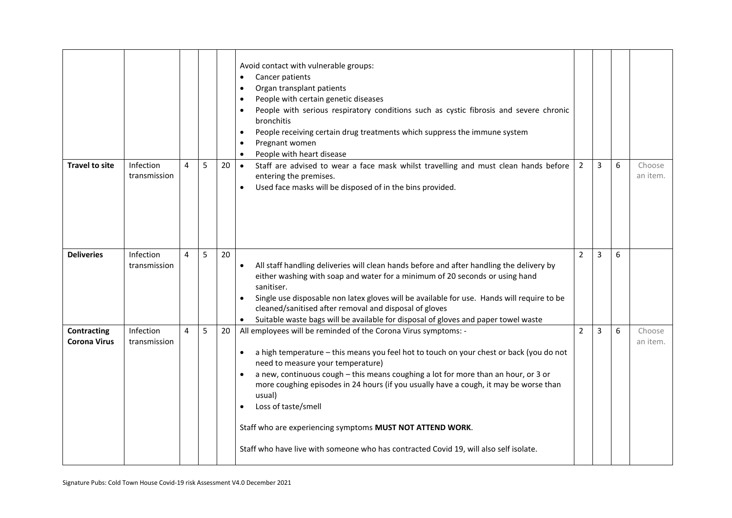|                                           |                           |   |   |    | Avoid contact with vulnerable groups:<br>Cancer patients<br>Organ transplant patients<br>People with certain genetic diseases<br>People with serious respiratory conditions such as cystic fibrosis and severe chronic<br>bronchitis<br>People receiving certain drug treatments which suppress the immune system<br>Pregnant women<br>People with heart disease                                                                                                                                                                                                                  |                |   |   |                    |
|-------------------------------------------|---------------------------|---|---|----|-----------------------------------------------------------------------------------------------------------------------------------------------------------------------------------------------------------------------------------------------------------------------------------------------------------------------------------------------------------------------------------------------------------------------------------------------------------------------------------------------------------------------------------------------------------------------------------|----------------|---|---|--------------------|
| <b>Travel to site</b>                     | Infection<br>transmission | 4 | 5 | 20 | Staff are advised to wear a face mask whilst travelling and must clean hands before<br>$\bullet$<br>entering the premises.<br>Used face masks will be disposed of in the bins provided.                                                                                                                                                                                                                                                                                                                                                                                           | $\overline{2}$ | 3 | 6 | Choose<br>an item. |
| <b>Deliveries</b>                         | Infection<br>transmission | 4 | 5 | 20 | All staff handling deliveries will clean hands before and after handling the delivery by<br>$\bullet$<br>either washing with soap and water for a minimum of 20 seconds or using hand<br>sanitiser.<br>Single use disposable non latex gloves will be available for use. Hands will require to be<br>cleaned/sanitised after removal and disposal of gloves<br>Suitable waste bags will be available for disposal of gloves and paper towel waste                                                                                                                                 | $\overline{2}$ | 3 | 6 |                    |
| <b>Contracting</b><br><b>Corona Virus</b> | Infection<br>transmission | 4 | 5 | 20 | All employees will be reminded of the Corona Virus symptoms: -<br>a high temperature - this means you feel hot to touch on your chest or back (you do not<br>need to measure your temperature)<br>a new, continuous cough - this means coughing a lot for more than an hour, or 3 or<br>$\bullet$<br>more coughing episodes in 24 hours (if you usually have a cough, it may be worse than<br>usual)<br>Loss of taste/smell<br>Staff who are experiencing symptoms MUST NOT ATTEND WORK.<br>Staff who have live with someone who has contracted Covid 19, will also self isolate. | $\overline{2}$ | 3 | 6 | Choose<br>an item. |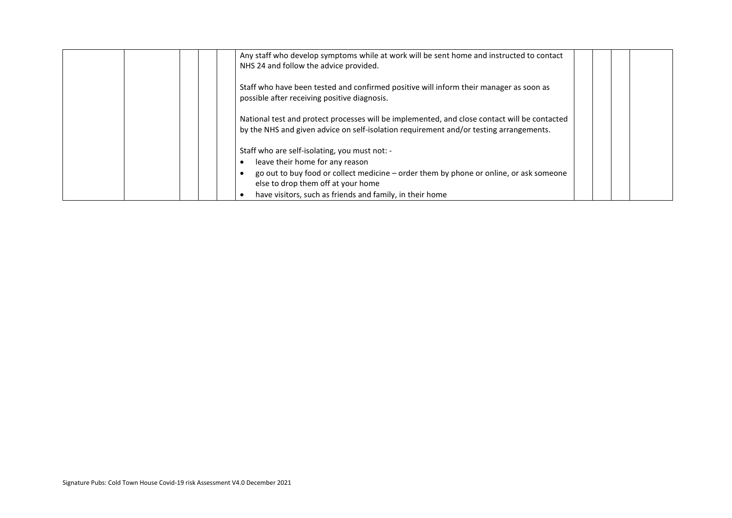| Any staff who develop symptoms while at work will be sent home and instructed to contact<br>NHS 24 and follow the advice provided.                                                                                                                                           |  |  |
|------------------------------------------------------------------------------------------------------------------------------------------------------------------------------------------------------------------------------------------------------------------------------|--|--|
| Staff who have been tested and confirmed positive will inform their manager as soon as<br>possible after receiving positive diagnosis.                                                                                                                                       |  |  |
| National test and protect processes will be implemented, and close contact will be contacted<br>by the NHS and given advice on self-isolation requirement and/or testing arrangements.                                                                                       |  |  |
| Staff who are self-isolating, you must not: -<br>leave their home for any reason<br>go out to buy food or collect medicine – order them by phone or online, or ask someone<br>else to drop them off at your home<br>have visitors, such as friends and family, in their home |  |  |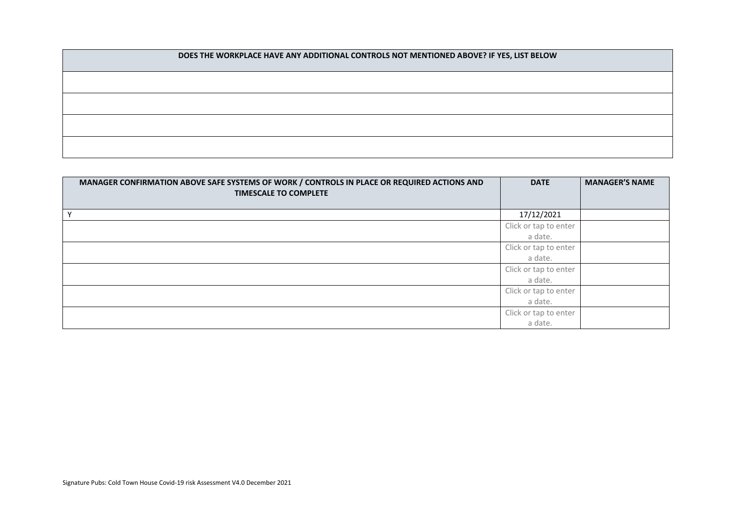**DOES THE WORKPLACE HAVE ANY ADDITIONAL CONTROLS NOT MENTIONED ABOVE? IF YES, LIST BELOW**

| MANAGER CONFIRMATION ABOVE SAFE SYSTEMS OF WORK / CONTROLS IN PLACE OR REQUIRED ACTIONS AND<br><b>TIMESCALE TO COMPLETE</b> | <b>DATE</b>           | <b>MANAGER'S NAME</b> |
|-----------------------------------------------------------------------------------------------------------------------------|-----------------------|-----------------------|
| Y                                                                                                                           | 17/12/2021            |                       |
|                                                                                                                             | Click or tap to enter |                       |
|                                                                                                                             | a date.               |                       |
|                                                                                                                             | Click or tap to enter |                       |
|                                                                                                                             | a date.               |                       |
|                                                                                                                             | Click or tap to enter |                       |
|                                                                                                                             | a date.               |                       |
|                                                                                                                             | Click or tap to enter |                       |
|                                                                                                                             | a date.               |                       |
|                                                                                                                             | Click or tap to enter |                       |
|                                                                                                                             | a date.               |                       |